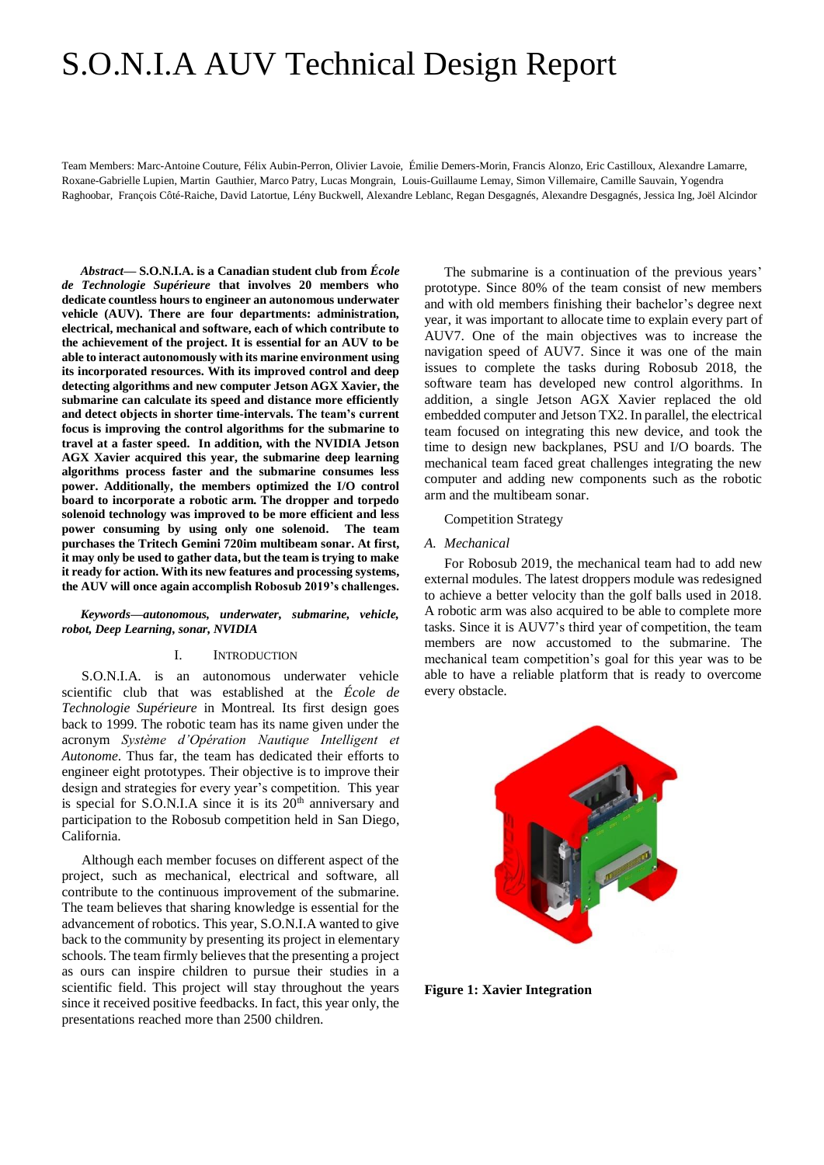# S.O.N.I.A AUV Technical Design Report

Team Members: Marc-Antoine Couture, Félix Aubin-Perron, Olivier Lavoie, Émilie Demers-Morin, Francis Alonzo, Eric Castilloux, Alexandre Lamarre, Roxane-Gabrielle Lupien, Martin Gauthier, Marco Patry, Lucas Mongrain, Louis-Guillaume Lemay, Simon Villemaire, Camille Sauvain, Yogendra Raghoobar, François Côté-Raiche, David Latortue, Lény Buckwell, Alexandre Leblanc, Regan Desgagnés, Alexandre Desgagnés, Jessica Ing, Joël Alcindor

*Abstract***— S.O.N.I.A. is a Canadian student club from** *École de Technologie Supérieure* **that involves 20 members who dedicate countless hours to engineer an autonomous underwater vehicle (AUV). There are four departments: administration, electrical, mechanical and software, each of which contribute to the achievement of the project. It is essential for an AUV to be able to interact autonomously with its marine environment using its incorporated resources. With its improved control and deep detecting algorithms and new computer Jetson AGX Xavier, the submarine can calculate its speed and distance more efficiently and detect objects in shorter time-intervals. The team's current focus is improving the control algorithms for the submarine to travel at a faster speed. In addition, with the NVIDIA Jetson AGX Xavier acquired this year, the submarine deep learning algorithms process faster and the submarine consumes less power. Additionally, the members optimized the I/O control board to incorporate a robotic arm. The dropper and torpedo solenoid technology was improved to be more efficient and less power consuming by using only one solenoid. The team purchases the Tritech Gemini 720im multibeam sonar. At first, it may only be used to gather data, but the team is trying to make it ready for action. With its new features and processing systems, the AUV will once again accomplish Robosub 2019's challenges.**

*Keywords—autonomous, underwater, submarine, vehicle, robot, Deep Learning, sonar, NVIDIA*

#### I. INTRODUCTION

S.O.N.I.A. is an autonomous underwater vehicle scientific club that was established at the *École de Technologie Supérieure* in Montreal. Its first design goes back to 1999. The robotic team has its name given under the acronym *Système d'Opération Nautique Intelligent et Autonome*. Thus far, the team has dedicated their efforts to engineer eight prototypes. Their objective is to improve their design and strategies for every year's competition. This year is special for  $S.O.N.I.A$  since it is its  $20<sup>th</sup>$  anniversary and participation to the Robosub competition held in San Diego, California.

Although each member focuses on different aspect of the project, such as mechanical, electrical and software, all contribute to the continuous improvement of the submarine. The team believes that sharing knowledge is essential for the advancement of robotics. This year, S.O.N.I.A wanted to give back to the community by presenting its project in elementary schools. The team firmly believes that the presenting a project as ours can inspire children to pursue their studies in a scientific field. This project will stay throughout the years since it received positive feedbacks. In fact, this year only, the presentations reached more than 2500 children.

The submarine is a continuation of the previous years' prototype. Since 80% of the team consist of new members and with old members finishing their bachelor's degree next year, it was important to allocate time to explain every part of AUV7. One of the main objectives was to increase the navigation speed of AUV7. Since it was one of the main issues to complete the tasks during Robosub 2018, the software team has developed new control algorithms. In addition, a single Jetson AGX Xavier replaced the old embedded computer and Jetson TX2. In parallel, the electrical team focused on integrating this new device, and took the time to design new backplanes, PSU and I/O boards. The mechanical team faced great challenges integrating the new computer and adding new components such as the robotic arm and the multibeam sonar.

#### Competition Strategy

#### *A. Mechanical*

For Robosub 2019, the mechanical team had to add new external modules. The latest droppers module was redesigned to achieve a better velocity than the golf balls used in 2018. A robotic arm was also acquired to be able to complete more tasks. Since it is AUV7's third year of competition, the team members are now accustomed to the submarine. The mechanical team competition's goal for this year was to be able to have a reliable platform that is ready to overcome every obstacle.



**Figure 1: Xavier Integration**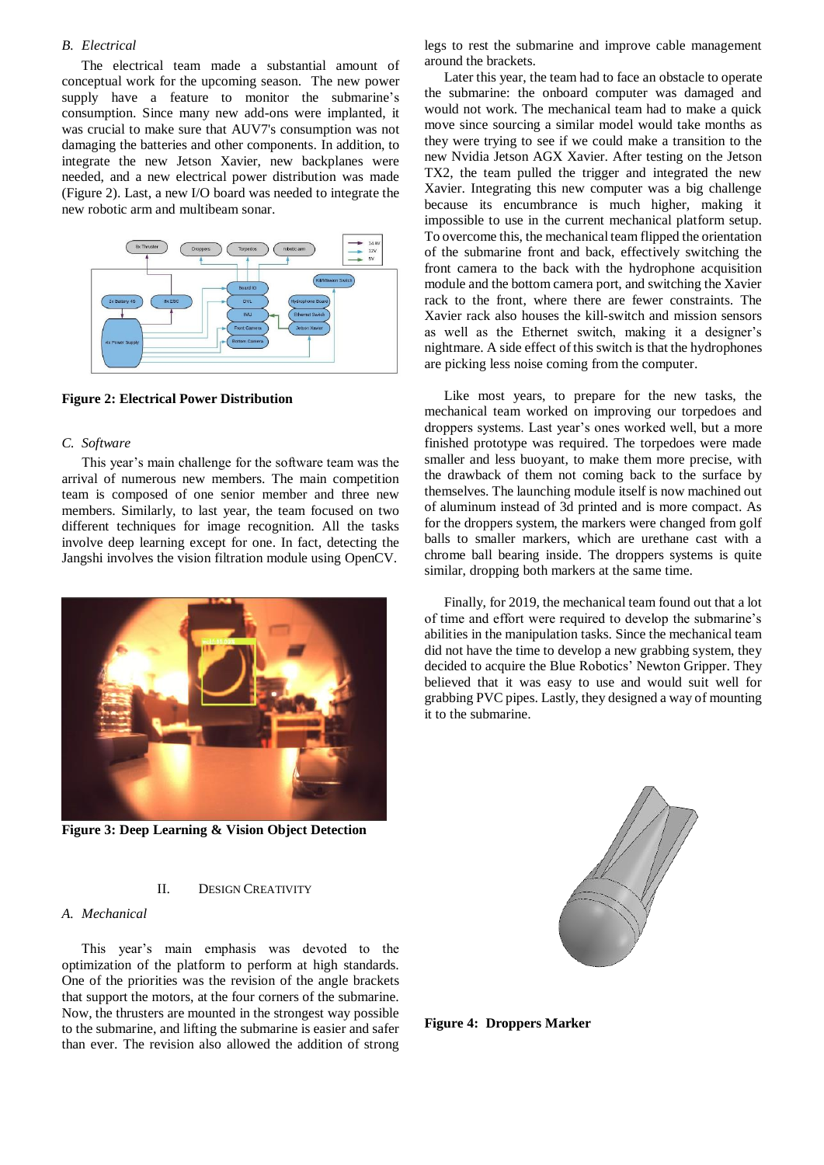## *B. Electrical*

The electrical team made a substantial amount of conceptual work for the upcoming season. The new power supply have a feature to monitor the submarine's consumption. Since many new add-ons were implanted, it was crucial to make sure that AUV7's consumption was not damaging the batteries and other components. In addition, to integrate the new Jetson Xavier, new backplanes were needed, and a new electrical power distribution was made (Figure 2). Last, a new I/O board was needed to integrate the new robotic arm and multibeam sonar.



**Figure 2: Electrical Power Distribution**

## *C. Software*

This year's main challenge for the software team was the arrival of numerous new members. The main competition team is composed of one senior member and three new members. Similarly, to last year, the team focused on two different techniques for image recognition. All the tasks involve deep learning except for one. In fact, detecting the Jangshi involves the vision filtration module using OpenCV.



**Figure 3: Deep Learning & Vision Object Detection**

#### II. DESIGN CREATIVITY

## *A. Mechanical*

This year's main emphasis was devoted to the optimization of the platform to perform at high standards. One of the priorities was the revision of the angle brackets that support the motors, at the four corners of the submarine. Now, the thrusters are mounted in the strongest way possible to the submarine, and lifting the submarine is easier and safer than ever. The revision also allowed the addition of strong

legs to rest the submarine and improve cable management around the brackets.

Later this year, the team had to face an obstacle to operate the submarine: the onboard computer was damaged and would not work. The mechanical team had to make a quick move since sourcing a similar model would take months as they were trying to see if we could make a transition to the new Nvidia Jetson AGX Xavier. After testing on the Jetson TX2, the team pulled the trigger and integrated the new Xavier. Integrating this new computer was a big challenge because its encumbrance is much higher, making it impossible to use in the current mechanical platform setup. To overcome this, the mechanical team flipped the orientation of the submarine front and back, effectively switching the front camera to the back with the hydrophone acquisition module and the bottom camera port, and switching the Xavier rack to the front, where there are fewer constraints. The Xavier rack also houses the kill-switch and mission sensors as well as the Ethernet switch, making it a designer's nightmare. A side effect of this switch is that the hydrophones are picking less noise coming from the computer.

Like most years, to prepare for the new tasks, the mechanical team worked on improving our torpedoes and droppers systems. Last year's ones worked well, but a more finished prototype was required. The torpedoes were made smaller and less buoyant, to make them more precise, with the drawback of them not coming back to the surface by themselves. The launching module itself is now machined out of aluminum instead of 3d printed and is more compact. As for the droppers system, the markers were changed from golf balls to smaller markers, which are urethane cast with a chrome ball bearing inside. The droppers systems is quite similar, dropping both markers at the same time.

Finally, for 2019, the mechanical team found out that a lot of time and effort were required to develop the submarine's abilities in the manipulation tasks. Since the mechanical team did not have the time to develop a new grabbing system, they decided to acquire the Blue Robotics' Newton Gripper. They believed that it was easy to use and would suit well for grabbing PVC pipes. Lastly, they designed a way of mounting it to the submarine.



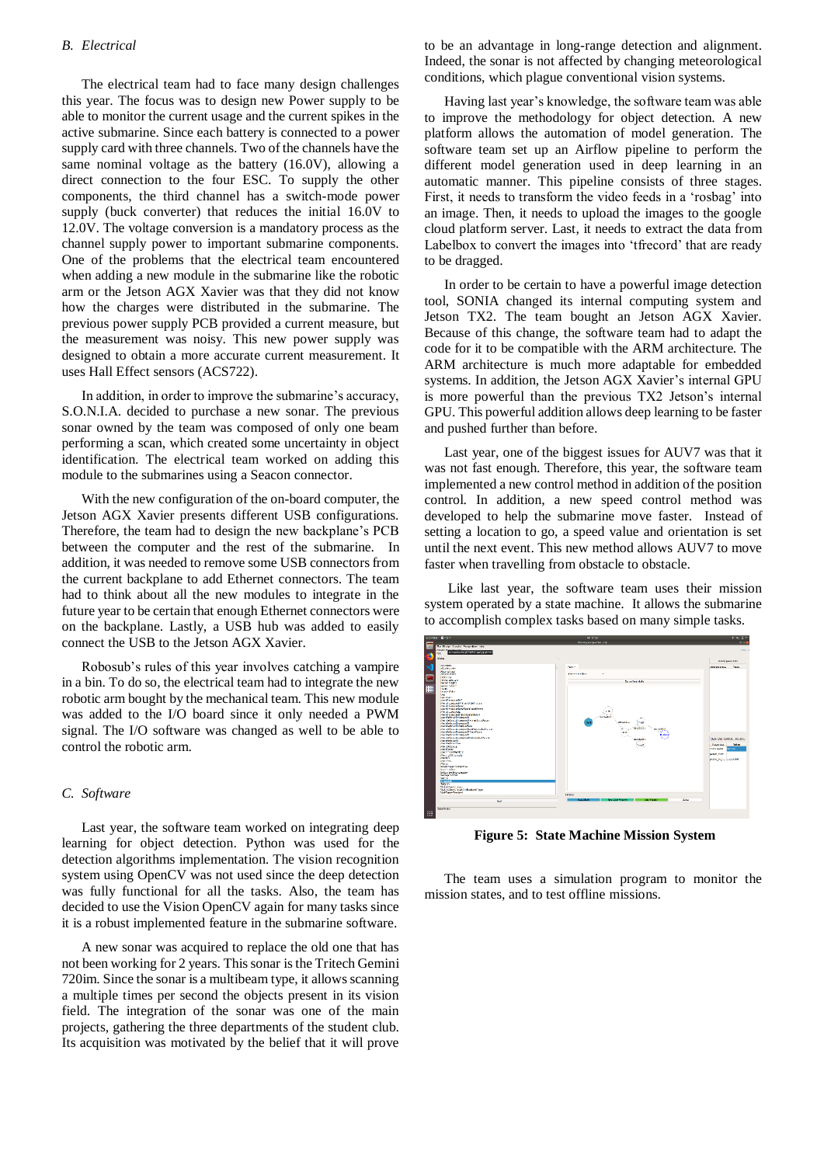## *B. Electrical*

The electrical team had to face many design challenges this year. The focus was to design new Power supply to be able to monitor the current usage and the current spikes in the active submarine. Since each battery is connected to a power supply card with three channels. Two of the channels have the same nominal voltage as the battery (16.0V), allowing a direct connection to the four ESC. To supply the other components, the third channel has a switch-mode power supply (buck converter) that reduces the initial 16.0V to 12.0V. The voltage conversion is a mandatory process as the channel supply power to important submarine components. One of the problems that the electrical team encountered when adding a new module in the submarine like the robotic arm or the Jetson AGX Xavier was that they did not know how the charges were distributed in the submarine. The previous power supply PCB provided a current measure, but the measurement was noisy. This new power supply was designed to obtain a more accurate current measurement. It uses Hall Effect sensors (ACS722).

In addition, in order to improve the submarine's accuracy, S.O.N.I.A. decided to purchase a new sonar. The previous sonar owned by the team was composed of only one beam performing a scan, which created some uncertainty in object identification. The electrical team worked on adding this module to the submarines using a Seacon connector.

With the new configuration of the on-board computer, the Jetson AGX Xavier presents different USB configurations. Therefore, the team had to design the new backplane's PCB between the computer and the rest of the submarine. In addition, it was needed to remove some USB connectors from the current backplane to add Ethernet connectors. The team had to think about all the new modules to integrate in the future year to be certain that enough Ethernet connectors were on the backplane. Lastly, a USB hub was added to easily connect the USB to the Jetson AGX Xavier.

Robosub's rules of this year involves catching a vampire in a bin. To do so, the electrical team had to integrate the new robotic arm bought by the mechanical team. This new module was added to the I/O board since it only needed a PWM signal. The I/O software was changed as well to be able to control the robotic arm.

## *C. Software*

Last year, the software team worked on integrating deep learning for object detection. Python was used for the detection algorithms implementation. The vision recognition system using OpenCV was not used since the deep detection was fully functional for all the tasks. Also, the team has decided to use the Vision OpenCV again for many tasks since it is a robust implemented feature in the submarine software.

A new sonar was acquired to replace the old one that has not been working for 2 years. This sonar is the Tritech Gemini 720im. Since the sonar is a multibeam type, it allows scanning a multiple times per second the objects present in its vision field. The integration of the sonar was one of the main projects, gathering the three departments of the student club. Its acquisition was motivated by the belief that it will prove

to be an advantage in long-range detection and alignment. Indeed, the sonar is not affected by changing meteorological conditions, which plague conventional vision systems.

Having last year's knowledge, the software team was able to improve the methodology for object detection. A new platform allows the automation of model generation. The software team set up an Airflow pipeline to perform the different model generation used in deep learning in an automatic manner. This pipeline consists of three stages. First, it needs to transform the video feeds in a 'rosbag' into an image. Then, it needs to upload the images to the google cloud platform server. Last, it needs to extract the data from Labelbox to convert the images into 'tfrecord' that are ready to be dragged.

In order to be certain to have a powerful image detection tool, SONIA changed its internal computing system and Jetson TX2. The team bought an Jetson AGX Xavier. Because of this change, the software team had to adapt the code for it to be compatible with the ARM architecture. The ARM architecture is much more adaptable for embedded systems. In addition, the Jetson AGX Xavier's internal GPU is more powerful than the previous TX2 Jetson's internal GPU. This powerful addition allows deep learning to be faster and pushed further than before.

Last year, one of the biggest issues for AUV7 was that it was not fast enough. Therefore, this year, the software team implemented a new control method in addition of the position control. In addition, a new speed control method was developed to help the submarine move faster. Instead of setting a location to go, a speed value and orientation is set until the next event. This new method allows AUV7 to move faster when travelling from obstacle to obstacle.

Like last year, the software team uses their mission system operated by a state machine. It allows the submarine to accomplish complex tasks based on many simple tasks.



**Figure 5: State Machine Mission System**

The team uses a simulation program to monitor the mission states, and to test offline missions.